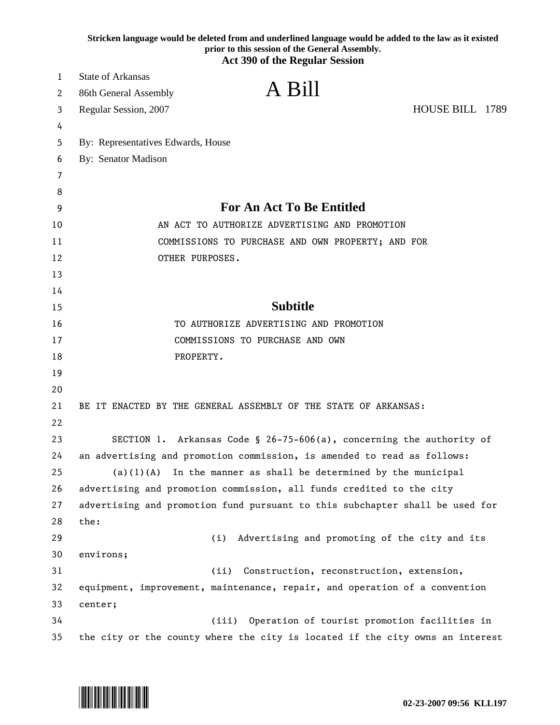|    | Stricken language would be deleted from and underlined language would be added to the law as it existed<br>prior to this session of the General Assembly. |
|----|-----------------------------------------------------------------------------------------------------------------------------------------------------------|
|    | <b>Act 390 of the Regular Session</b>                                                                                                                     |
| 1  | <b>State of Arkansas</b>                                                                                                                                  |
| 2  | A Bill<br>86th General Assembly                                                                                                                           |
| 3  | HOUSE BILL 1789<br>Regular Session, 2007                                                                                                                  |
| 4  |                                                                                                                                                           |
| 5  | By: Representatives Edwards, House                                                                                                                        |
| 6  | By: Senator Madison                                                                                                                                       |
| 7  |                                                                                                                                                           |
| 8  |                                                                                                                                                           |
| 9  | <b>For An Act To Be Entitled</b>                                                                                                                          |
| 10 | AN ACT TO AUTHORIZE ADVERTISING AND PROMOTION                                                                                                             |
| 11 | COMMISSIONS TO PURCHASE AND OWN PROPERTY; AND FOR                                                                                                         |
| 12 | OTHER PURPOSES.                                                                                                                                           |
| 13 |                                                                                                                                                           |
| 14 |                                                                                                                                                           |
| 15 | <b>Subtitle</b>                                                                                                                                           |
| 16 | TO AUTHORIZE ADVERTISING AND PROMOTION                                                                                                                    |
| 17 | COMMISSIONS TO PURCHASE AND OWN                                                                                                                           |
| 18 | PROPERTY.                                                                                                                                                 |
| 19 |                                                                                                                                                           |
| 20 |                                                                                                                                                           |
| 21 | BE IT ENACTED BY THE GENERAL ASSEMBLY OF THE STATE OF ARKANSAS:                                                                                           |
| 22 |                                                                                                                                                           |
| 23 | SECTION 1. Arkansas Code § 26-75-606(a), concerning the authority of                                                                                      |
| 24 | an advertising and promotion commission, is amended to read as follows:                                                                                   |
| 25 | In the manner as shall be determined by the municipal<br>(a) (1) (A)                                                                                      |
| 26 | advertising and promotion commission, all funds credited to the city                                                                                      |
| 27 | advertising and promotion fund pursuant to this subchapter shall be used for                                                                              |
| 28 | the:                                                                                                                                                      |
| 29 | Advertising and promoting of the city and its<br>(i)                                                                                                      |
| 30 | environs;                                                                                                                                                 |
| 31 | (ii)<br>Construction, reconstruction, extension,                                                                                                          |
| 32 | equipment, improvement, maintenance, repair, and operation of a convention                                                                                |
| 33 | center;                                                                                                                                                   |
| 34 | (iii) Operation of tourist promotion facilities in                                                                                                        |
| 35 | the city or the county where the city is located if the city owns an interest                                                                             |